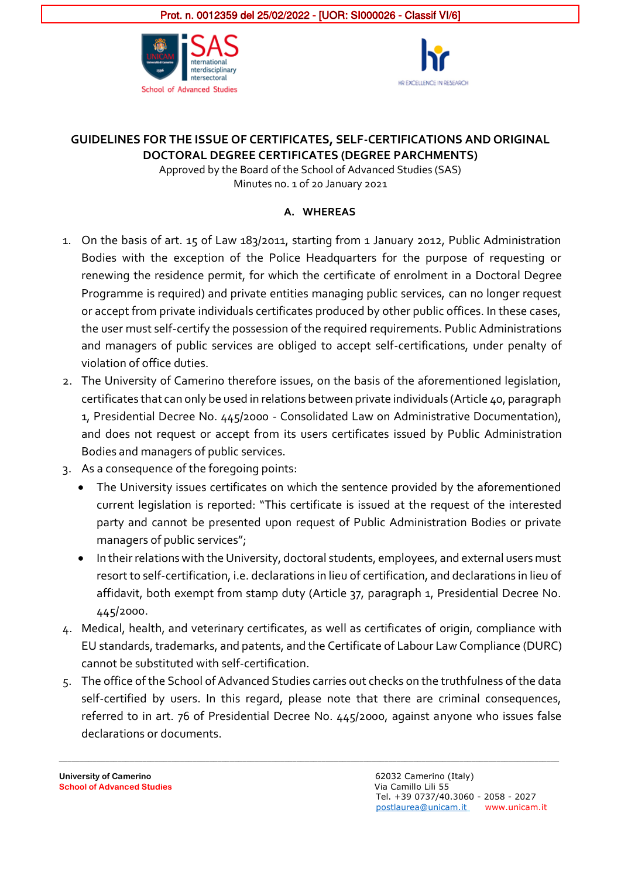



## **GUIDELINES FOR THE ISSUE OF CERTIFICATES, SELF-CERTIFICATIONS AND ORIGINAL DOCTORAL DEGREE CERTIFICATES (DEGREE PARCHMENTS)**

Approved by the Board of the School of Advanced Studies (SAS) Minutes no. 1 of 20 January 2021

### **A. WHEREAS**

- 1. On the basis of art. 15 of Law 183/2011, starting from 1 January 2012, Public Administration Bodies with the exception of the Police Headquarters for the purpose of requesting or renewing the residence permit, for which the certificate of enrolment in a Doctoral Degree Programme is required) and private entities managing public services, can no longer request or accept from private individuals certificates produced by other public offices. In these cases, the user must self-certify the possession of the required requirements. Public Administrations and managers of public services are obliged to accept self-certifications, under penalty of violation of office duties.
- 2. The University of Camerino therefore issues, on the basis of the aforementioned legislation, certificates that can only be used in relations between private individuals (Article 40, paragraph 1, Presidential Decree No. 445/2000 - Consolidated Law on Administrative Documentation), and does not request or accept from its users certificates issued by Public Administration Bodies and managers of public services.
- 3. As a consequence of the foregoing points:
	- The University issues certificates on which the sentence provided by the aforementioned current legislation is reported: "This certificate is issued at the request of the interested party and cannot be presented upon request of Public Administration Bodies or private managers of public services";
	- In their relations with the University, doctoral students, employees, and external users must resort to self-certification, i.e. declarations in lieu of certification, and declarations in lieu of affidavit, both exempt from stamp duty (Article 37, paragraph 1, Presidential Decree No. 445/2000.
- 4. Medical, health, and veterinary certificates, as well as certificates of origin, compliance with EU standards, trademarks, and patents, and the Certificate of Labour Law Compliance (DURC) cannot be substituted with self-certification.
- 5. The office of the School of Advanced Studies carries out checks on the truthfulness of the data self-certified by users. In this regard, please note that there are criminal consequences, referred to in art. 76 of Presidential Decree No. 445/2000, against anyone who issues false declarations or documents.

**\_\_\_\_\_\_\_\_\_\_\_\_\_\_\_\_\_\_\_\_\_\_\_\_\_\_\_\_\_\_\_\_\_\_\_\_\_\_\_\_\_\_\_\_\_\_\_\_\_\_\_\_\_\_\_\_\_\_\_\_\_\_\_\_\_\_\_\_\_\_\_\_\_\_\_\_\_\_\_\_\_\_\_\_\_\_\_\_\_\_\_\_\_\_\_\_\_\_\_\_\_\_\_\_\_\_\_\_\_\_\_\_\_\_\_\_\_\_\_\_**

**University of Camerino** 62032 Camerino (Italy) **School of Advanced Studies** Via Camillo Lili 55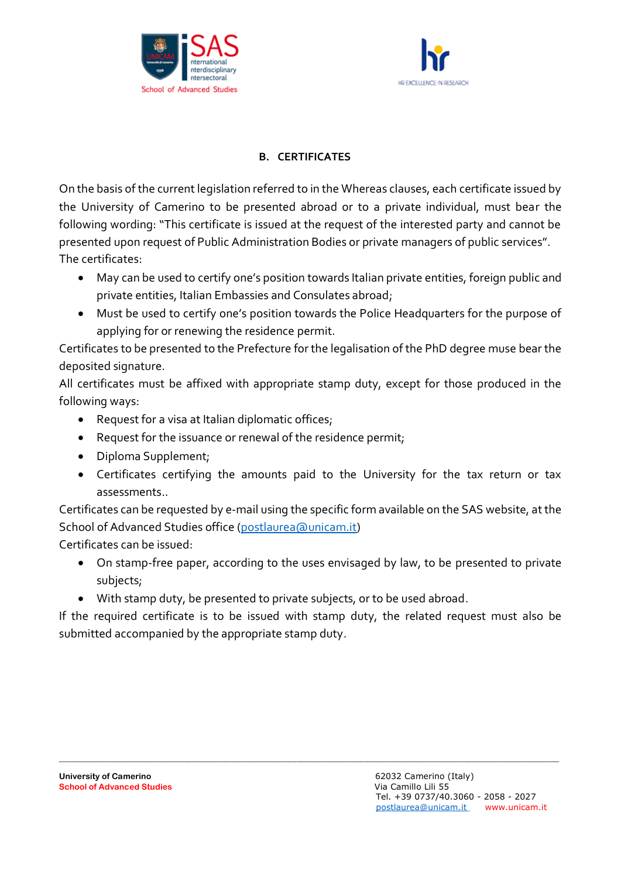



### **B. CERTIFICATES**

On the basis of the current legislation referred to in the Whereas clauses, each certificate issued by the University of Camerino to be presented abroad or to a private individual, must bear the following wording: "This certificate is issued at the request of the interested party and cannot be presented upon request of Public Administration Bodies or private managers of public services". The certificates:

- May can be used to certify one's position towards Italian private entities, foreign public and private entities, Italian Embassies and Consulates abroad;
- Must be used to certify one's position towards the Police Headquarters for the purpose of applying for or renewing the residence permit.

Certificates to be presented to the Prefecture for the legalisation of the PhD degree muse bear the deposited signature.

All certificates must be affixed with appropriate stamp duty, except for those produced in the following ways:

- Request for a visa at Italian diplomatic offices;
- Request for the issuance or renewal of the residence permit;
- Diploma Supplement;
- Certificates certifying the amounts paid to the University for the tax return or tax assessments..

Certificates can be requested by e-mail using the specific form available on the SAS website, at the School of Advanced Studies office [\(postlaurea@unicam.it\)](mailto:postlaurea@unicam.it)

Certificates can be issued:

- On stamp-free paper, according to the uses envisaged by law, to be presented to private subjects;
- With stamp duty, be presented to private subjects, or to be used abroad.

If the required certificate is to be issued with stamp duty, the related request must also be submitted accompanied by the appropriate stamp duty.

**\_\_\_\_\_\_\_\_\_\_\_\_\_\_\_\_\_\_\_\_\_\_\_\_\_\_\_\_\_\_\_\_\_\_\_\_\_\_\_\_\_\_\_\_\_\_\_\_\_\_\_\_\_\_\_\_\_\_\_\_\_\_\_\_\_\_\_\_\_\_\_\_\_\_\_\_\_\_\_\_\_\_\_\_\_\_\_\_\_\_\_\_\_\_\_\_\_\_\_\_\_\_\_\_\_\_\_\_\_\_\_\_\_\_\_\_\_\_\_\_**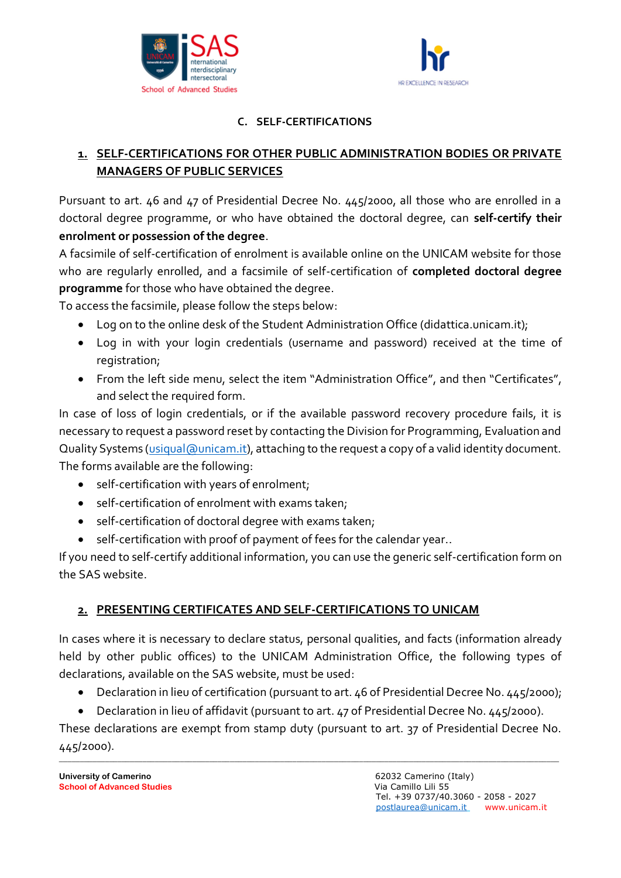



### **C. SELF-CERTIFICATIONS**

## **1. SELF-CERTIFICATIONS FOR OTHER PUBLIC ADMINISTRATION BODIES OR PRIVATE MANAGERS OF PUBLIC SERVICES**

Pursuant to art. 46 and 47 of Presidential Decree No. 445/2000, all those who are enrolled in a doctoral degree programme, or who have obtained the doctoral degree, can **self-certify their enrolment or possession of the degree**.

A facsimile of self-certification of enrolment is available online on the UNICAM website for those who are regularly enrolled, and a facsimile of self-certification of **completed doctoral degree programme** for those who have obtained the degree.

To access the facsimile, please follow the steps below:

- Log on to the online desk of the Student Administration Office (didattica.unicam.it);
- Log in with your login credentials (username and password) received at the time of registration;
- From the left side menu, select the item "Administration Office", and then "Certificates", and select the required form.

In case of loss of login credentials, or if the available password recovery procedure fails, it is necessary to request a password reset by contacting the Division for Programming, Evaluation and Quality Systems [\(usiqual@unicam.it\)](mailto:usiqual@unicam.it), attaching to the request a copy of a valid identity document. The forms available are the following:

- self-certification with years of enrolment;
- self-certification of enrolment with exams taken;
- self-certification of doctoral degree with exams taken;
- self-certification with proof of payment of fees for the calendar year..

If you need to self-certify additional information, you can use the generic self-certification form on the SAS website.

## **2. PRESENTING CERTIFICATES AND SELF-CERTIFICATIONS TO UNICAM**

In cases where it is necessary to declare status, personal qualities, and facts (information already held by other public offices) to the UNICAM Administration Office, the following types of declarations, available on the SAS website, must be used:

- Declaration in lieu of certification (pursuant to art. 46 of Presidential Decree No. 445/2000);
- Declaration in lieu of affidavit (pursuant to art. 47 of Presidential Decree No. 445/2000).

**\_\_\_\_\_\_\_\_\_\_\_\_\_\_\_\_\_\_\_\_\_\_\_\_\_\_\_\_\_\_\_\_\_\_\_\_\_\_\_\_\_\_\_\_\_\_\_\_\_\_\_\_\_\_\_\_\_\_\_\_\_\_\_\_\_\_\_\_\_\_\_\_\_\_\_\_\_\_\_\_\_\_\_\_\_\_\_\_\_\_\_\_\_\_\_\_\_\_\_\_\_\_\_\_\_\_\_\_\_\_\_\_\_\_\_\_\_\_\_\_** These declarations are exempt from stamp duty (pursuant to art. 37 of Presidential Decree No. 445/2000).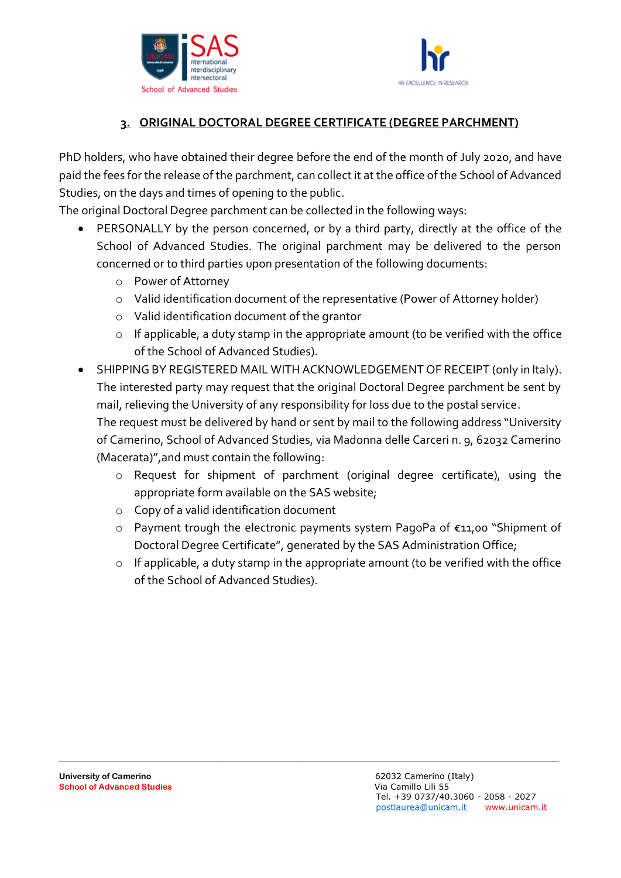



# **3. ORIGINAL DOCTORAL DEGREE CERTIFICATE (DEGREE PARCHMENT)**

PhD holders, who have obtained their degree before the end of the month of July 2020, and have paid the fees for the release of the parchment, can collect it at the office of the School of Advanced Studies, on the days and times of opening to the public.

The original Doctoral Degree parchment can be collected in the following ways:

- PERSONALLY by the person concerned, or by a third party, directly at the office of the School of Advanced Studies. The original parchment may be delivered to the person concerned or to third parties upon presentation of the following documents:
	- o Power of Attorney
	- o Valid identification document of the representative (Power of Attorney holder)
	- o Valid identification document of the grantor
	- o If applicable, a duty stamp in the appropriate amount (to be verified with the office of the School of Advanced Studies).
- SHIPPING BY REGISTERED MAIL WITH ACKNOWLEDGEMENT OF RECEIPT (only in Italy). The interested party may request that the original Doctoral Degree parchment be sent by mail, relieving the University of any responsibility for loss due to the postal service. The request must be delivered by hand or sent by mail to the following address "University of Camerino, School of Advanced Studies, via Madonna delle Carceri n. 9, 62032 Camerino (Macerata)",and must contain the following:
	- o Request for shipment of parchment (original degree certificate), using the appropriate form available on the SAS website;
	- o Copy of a valid identification document
	- o Payment trough the electronic payments system PagoPa of €11,00 "Shipment of Doctoral Degree Certificate", generated by the SAS Administration Office;
	- o If applicable, a duty stamp in the appropriate amount (to be verified with the office of the School of Advanced Studies).

**\_\_\_\_\_\_\_\_\_\_\_\_\_\_\_\_\_\_\_\_\_\_\_\_\_\_\_\_\_\_\_\_\_\_\_\_\_\_\_\_\_\_\_\_\_\_\_\_\_\_\_\_\_\_\_\_\_\_\_\_\_\_\_\_\_\_\_\_\_\_\_\_\_\_\_\_\_\_\_\_\_\_\_\_\_\_\_\_\_\_\_\_\_\_\_\_\_\_\_\_\_\_\_\_\_\_\_\_\_\_\_\_\_\_\_\_\_\_\_\_**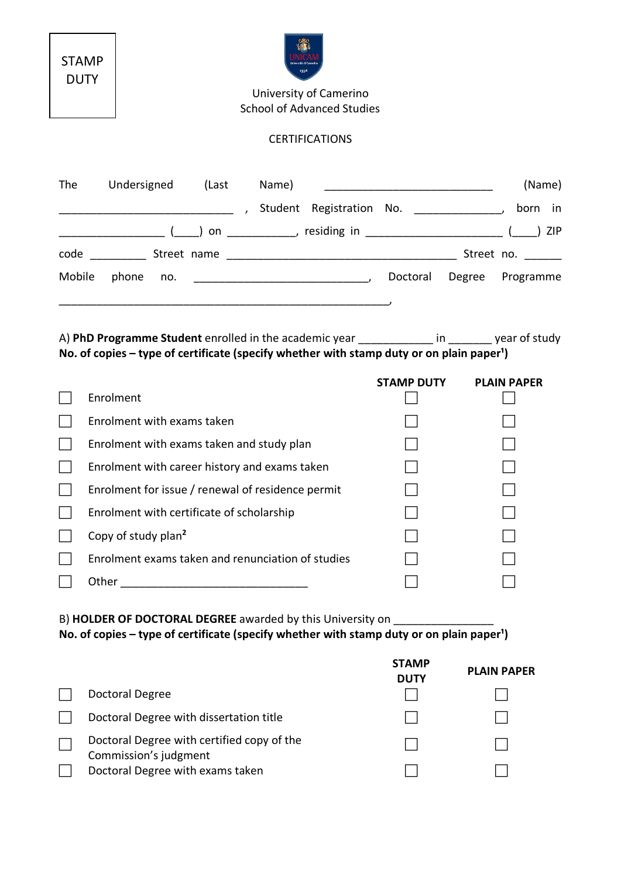| STAMP |
|-------|
| DUTY  |



University of Camerino School of Advanced Studies

### CERTIFICATIONS

| The    | Undersigned                                       |     | (Last | Name)                                                                                                          |                                                                                                                                                                                         | <u> 1989 - Johann Barbara, martin da basar da basar da basar da basar da basar da basar da basar da basar da basa</u> |        | (Name)             |
|--------|---------------------------------------------------|-----|-------|----------------------------------------------------------------------------------------------------------------|-----------------------------------------------------------------------------------------------------------------------------------------------------------------------------------------|-----------------------------------------------------------------------------------------------------------------------|--------|--------------------|
|        |                                                   |     |       |                                                                                                                |                                                                                                                                                                                         |                                                                                                                       |        |                    |
|        |                                                   |     |       |                                                                                                                | __________________(____)on ______________,residing in _________________________(____)ZIP                                                                                                |                                                                                                                       |        |                    |
|        |                                                   |     |       |                                                                                                                |                                                                                                                                                                                         |                                                                                                                       |        | Street no.         |
| Mobile | phone                                             | no. |       |                                                                                                                |                                                                                                                                                                                         |                                                                                                                       | Degree | Programme          |
|        |                                                   |     |       |                                                                                                                |                                                                                                                                                                                         |                                                                                                                       |        |                    |
|        |                                                   |     |       |                                                                                                                | A) PhD Programme Student enrolled in the academic year the same study of study<br>No. of copies – type of certificate (specify whether with stamp duty or on plain paper <sup>1</sup> ) |                                                                                                                       |        |                    |
|        |                                                   |     |       |                                                                                                                |                                                                                                                                                                                         | <b>STAMP DUTY</b>                                                                                                     |        | <b>PLAIN PAPER</b> |
|        | Enrolment                                         |     |       |                                                                                                                |                                                                                                                                                                                         |                                                                                                                       |        |                    |
|        | Enrolment with exams taken                        |     |       |                                                                                                                |                                                                                                                                                                                         |                                                                                                                       |        |                    |
|        | Enrolment with exams taken and study plan         |     |       |                                                                                                                |                                                                                                                                                                                         |                                                                                                                       |        |                    |
|        | Enrolment with career history and exams taken     |     |       |                                                                                                                |                                                                                                                                                                                         |                                                                                                                       |        |                    |
|        | Enrolment for issue / renewal of residence permit |     |       |                                                                                                                |                                                                                                                                                                                         |                                                                                                                       |        |                    |
|        | Enrolment with certificate of scholarship         |     |       |                                                                                                                |                                                                                                                                                                                         |                                                                                                                       |        |                    |
|        | Copy of study plan <sup>2</sup>                   |     |       |                                                                                                                |                                                                                                                                                                                         |                                                                                                                       |        |                    |
|        |                                                   |     |       | Enrolment exams taken and renunciation of studies                                                              |                                                                                                                                                                                         |                                                                                                                       |        |                    |
|        |                                                   |     |       | Other than the contract of the contract of the contract of the contract of the contract of the contract of the |                                                                                                                                                                                         |                                                                                                                       |        |                    |
|        |                                                   |     |       |                                                                                                                |                                                                                                                                                                                         |                                                                                                                       |        |                    |

B) **HOLDER OF DOCTORAL DEGREE** awarded by this University on \_\_\_\_\_\_\_\_\_\_\_\_\_\_\_\_\_\_\_\_ No. of copies – type of certificate (specify whether with stamp duty or on plain paper<sup>1</sup>)

|                                                                     | <b>STAMP</b><br><b>DUTY</b> | <b>PLAIN PAPER</b> |
|---------------------------------------------------------------------|-----------------------------|--------------------|
| Doctoral Degree                                                     |                             |                    |
| Doctoral Degree with dissertation title                             |                             |                    |
| Doctoral Degree with certified copy of the<br>Commission's judgment |                             |                    |
| Doctoral Degree with exams taken                                    |                             |                    |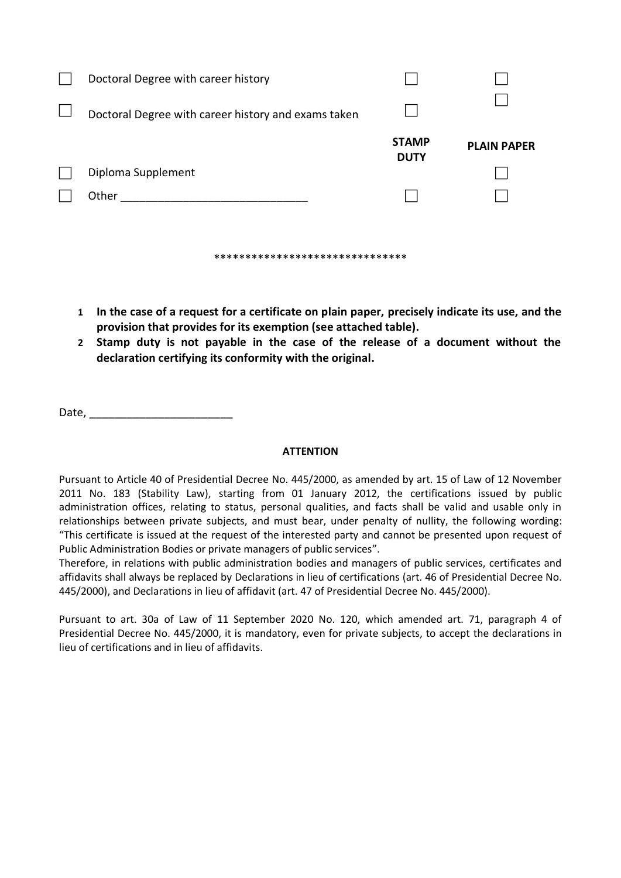| Doctoral Degree with career history                 |                             |                    |  |  |  |
|-----------------------------------------------------|-----------------------------|--------------------|--|--|--|
| Doctoral Degree with career history and exams taken |                             |                    |  |  |  |
|                                                     | <b>STAMP</b><br><b>DUTY</b> | <b>PLAIN PAPER</b> |  |  |  |
| Diploma Supplement                                  |                             |                    |  |  |  |
| Other                                               |                             |                    |  |  |  |
|                                                     |                             |                    |  |  |  |
|                                                     |                             |                    |  |  |  |
| *******************************                     |                             |                    |  |  |  |

- **1 In the case of a request for a certificate on plain paper, precisely indicate its use, and the provision that provides for its exemption (see attached table).**
- **2 Stamp duty is not payable in the case of the release of a document without the declaration certifying its conformity with the original.**

Date, \_\_\_\_\_\_\_\_\_\_\_\_\_\_\_\_\_\_\_\_\_\_\_

### **ATTENTION**

Pursuant to Article 40 of Presidential Decree No. 445/2000, as amended by art. 15 of Law of 12 November 2011 No. 183 (Stability Law), starting from 01 January 2012, the certifications issued by public administration offices, relating to status, personal qualities, and facts shall be valid and usable only in relationships between private subjects, and must bear, under penalty of nullity, the following wording: "This certificate is issued at the request of the interested party and cannot be presented upon request of Public Administration Bodies or private managers of public services".

Therefore, in relations with public administration bodies and managers of public services, certificates and affidavits shall always be replaced by Declarations in lieu of certifications (art. 46 of Presidential Decree No. 445/2000), and Declarations in lieu of affidavit (art. 47 of Presidential Decree No. 445/2000).

Pursuant to art. 30a of Law of 11 September 2020 No. 120, which amended art. 71, paragraph 4 of Presidential Decree No. 445/2000, it is mandatory, even for private subjects, to accept the declarations in lieu of certifications and in lieu of affidavits.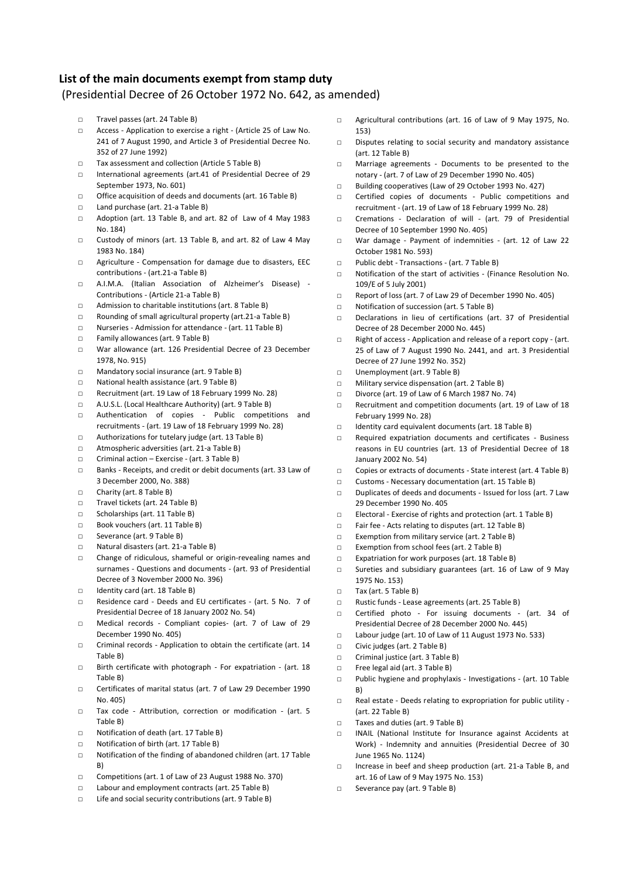#### **List of the main documents exempt from stamp duty**

#### (Presidential Decree of 26 October 1972 No. 642, as amended)

- □ Travel passes (art. 24 Table B)
- □ Access Application to exercise a right (Article 25 of Law No. 241 of 7 August 1990, and Article 3 of Presidential Decree No. 352 of 27 June 1992)
- □ Tax assessment and collection (Article 5 Table B)
- □ International agreements (art.41 of Presidential Decree of 29 September 1973, No. 601)
- □ Office acquisition of deeds and documents (art. 16 Table B)
- □ Land purchase (art. 21-a Table B)
- □ Adoption (art. 13 Table B, and art. 82 of Law of 4 May 1983 No. 184)
- □ Custody of minors (art. 13 Table B, and art. 82 of Law 4 May 1983 No. 184)
- □ Agriculture Compensation for damage due to disasters, EEC contributions - (art.21-a Table B)
- □ A.I.M.A. (Italian Association of Alzheimer's Disease) Contributions - (Article 21-a Table B)
- □ Admission to charitable institutions (art. 8 Table B)
- □ Rounding of small agricultural property (art.21-a Table B)
- □ Nurseries Admission for attendance (art. 11 Table B)
- □ Family allowances (art. 9 Table B)
- □ War allowance (art. 126 Presidential Decree of 23 December 1978, No. 915)
- □ Mandatory social insurance (art. 9 Table B)
- □ National health assistance (art. 9 Table B)
- □ Recruitment (art. 19 Law of 18 February 1999 No. 28)
- □ A.U.S.L. (Local Healthcare Authority) (art. 9 Table B)
- □ Authentication of copies Public competitions and recruitments - (art. 19 Law of 18 February 1999 No. 28)
- □ Authorizations for tutelary judge (art. 13 Table B)
- □ Atmospheric adversities (art. 21-a Table B)
- □ Criminal action Exercise (art. 3 Table B)
- □ Banks Receipts, and credit or debit documents (art. 33 Law of 3 December 2000, No. 388)
- □ Charity (art. 8 Table B)
- □ Travel tickets (art. 24 Table B)
- □ Scholarships (art. 11 Table B)
- □ Book vouchers (art. 11 Table B)
- □ Severance (art. 9 Table B)
- □ Natural disasters (art. 21-a Table B)
- □ Change of ridiculous, shameful or origin-revealing names and surnames - Questions and documents - (art. 93 of Presidential Decree of 3 November 2000 No. 396)
- □ Identity card (art. 18 Table B)
- □ Residence card Deeds and EU certificates (art. 5 No. 7 of Presidential Decree of 18 January 2002 No. 54)
- □ Medical records Compliant copies- (art. 7 of Law of 29 December 1990 No. 405)
- □ Criminal records Application to obtain the certificate (art. 14 Table B)
- □ Birth certificate with photograph For expatriation (art. 18 Table B)
- □ Certificates of marital status (art. 7 of Law 29 December 1990 No. 405)
- □ Tax code Attribution, correction or modification (art. 5 Table B)
- □ Notification of death (art. 17 Table B)
- □ Notification of birth (art. 17 Table B)
- □ Notification of the finding of abandoned children (art. 17 Table B)
- □ Competitions (art. 1 of Law of 23 August 1988 No. 370)
- □ Labour and employment contracts (art. 25 Table B)
- □ Life and social security contributions (art. 9 Table B)
- □ Agricultural contributions (art. 16 of Law of 9 May 1975, No. 153)
- □ Disputes relating to social security and mandatory assistance (art. 12 Table B)
- □ Marriage agreements Documents to be presented to the notary - (art. 7 of Law of 29 December 1990 No. 405)
- □ Building cooperatives (Law of 29 October 1993 No. 427)
- □ Certified copies of documents Public competitions and recruitment - (art. 19 of Law of 18 February 1999 No. 28)
- □ Cremations Declaration of will (art. 79 of Presidential Decree of 10 September 1990 No. 405)
- □ War damage Payment of indemnities (art. 12 of Law 22 October 1981 No. 593)
- □ Public debt Transactions (art. 7 Table B)
- □ Notification of the start of activities (Finance Resolution No. 109/E of 5 July 2001)
- □ Report of loss (art. 7 of Law 29 of December 1990 No. 405)
- □ Notification of succession (art. 5 Table B)
- □ Declarations in lieu of certifications (art. 37 of Presidential Decree of 28 December 2000 No. 445)
- □ Right of access Application and release of a report copy (art. 25 of Law of 7 August 1990 No. 2441, and art. 3 Presidential Decree of 27 June 1992 No. 352)
- □ Unemployment (art. 9 Table B)
- □ Military service dispensation (art. 2 Table B)
- □ Divorce (art. 19 of Law of 6 March 1987 No. 74)
- □ Recruitment and competition documents (art. 19 of Law of 18 February 1999 No. 28)
- □ Identity card equivalent documents (art. 18 Table B)
- □ Required expatriation documents and certificates Business reasons in EU countries (art. 13 of Presidential Decree of 18 January 2002 No. 54)
- □ Copies or extracts of documents State interest (art. 4 Table B)
- □ Customs Necessary documentation (art. 15 Table B)
- □ Duplicates of deeds and documents Issued for loss (art. 7 Law 29 December 1990 No. 405
- □ Electoral Exercise of rights and protection (art. 1 Table B)
- □ Fair fee Acts relating to disputes (art. 12 Table B)
- □ Exemption from military service (art. 2 Table B)
- □ Exemption from school fees (art. 2 Table B)
- □ Expatriation for work purposes (art. 18 Table B)
- □ Sureties and subsidiary guarantees (art. 16 of Law of 9 May 1975 No. 153)
- □ Tax (art. 5 Table B)
- □ Rustic funds Lease agreements (art. 25 Table B)
- □ Certified photo For issuing documents (art. 34 of Presidential Decree of 28 December 2000 No. 445)
- □ Labour judge (art. 10 of Law of 11 August 1973 No. 533)
- □ Civic judges (art. 2 Table B)
- □ Criminal justice (art. 3 Table B)
- □ Free legal aid (art. 3 Table B)
- □ Public hygiene and prophylaxis Investigations (art. 10 Table B)
- □ Real estate Deeds relating to expropriation for public utility (art. 22 Table B)
- □ Taxes and duties (art. 9 Table B)
- □ INAIL (National Institute for Insurance against Accidents at Work) - Indemnity and annuities (Presidential Decree of 30 June 1965 No. 1124)
- □ Increase in beef and sheep production (art. 21-a Table B, and art. 16 of Law of 9 May 1975 No. 153)
- □ Severance pay (art. 9 Table B)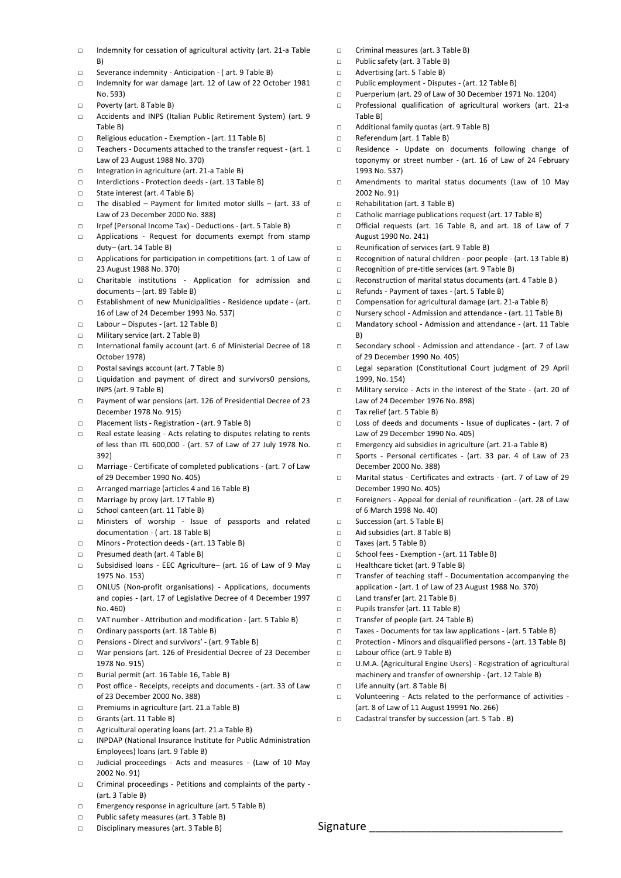- $\nabla$  Indemnity for cessation of agricultural activity (art. 21-a Table B)
- □ Severance indemnity Anticipation ( art. 9 Table B)
- □ Indemnity for war damage (art. 12 of Law of 22 October 1981 No. 593)
- □ Poverty (art. 8 Table B)
- □ Accidents and INPS (Italian Public Retirement System) (art. 9 Table B)
- □ Religious education Exemption (art. 11 Table B)
- □ Teachers Documents attached to the transfer request (art. 1 Law of 23 August 1988 No. 370)
- □ Integration in agriculture (art. 21-a Table B)
- □ Interdictions Protection deeds (art. 13 Table B)
- □ State interest (art. 4 Table B)
- □ The disabled Payment for limited motor skills (art. 33 of Law of 23 December 2000 No. 388)
- □ Irpef (Personal Income Tax) Deductions (art. 5 Table B)
- □ Applications Request for documents exempt from stamp duty– (art. 14 Table B)
- □ Applications for participation in competitions (art. 1 of Law of 23 August 1988 No. 370)
- □ Charitable institutions Application for admission and documents – (art. 89 Table B)
- □ Establishment of new Municipalities Residence update (art. 16 of Law of 24 December 1993 No. 537)
- □ Labour Disputes (art. 12 Table B)
- □ Military service (art. 2 Table B)
- □ International family account (art. 6 of Ministerial Decree of 18 October 1978)
- □ Postal savings account (art. 7 Table B)
- □ Liquidation and payment of direct and survivors0 pensions, INPS (art. 9 Table B)
- □ Payment of war pensions (art. 126 of Presidential Decree of 23 December 1978 No. 915)
- □ Placement lists Registration (art. 9 Table B)
- □ Real estate leasing Acts relating to disputes relating to rents of less than ITL 600,000 - (art. 57 of Law of 27 July 1978 No. 392)
- □ Marriage Certificate of completed publications (art. 7 of Law of 29 December 1990 No. 405)
- □ Arranged marriage (articles 4 and 16 Table B)
- □ Marriage by proxy (art. 17 Table B)
- □ School canteen (art. 11 Table B)
- □ Ministers of worship Issue of passports and related documentation - ( art. 18 Table B)
- □ Minors Protection deeds (art. 13 Table B)
- □ Presumed death (art. 4 Table B)
- □ Subsidised loans EEC Agriculture– (art. 16 of Law of 9 May 1975 No. 153)
- □ ONLUS (Non-profit organisations) Applications, documents and copies - (art. 17 of Legislative Decree of 4 December 1997 No. 460)
- □ VAT number Attribution and modification (art. 5 Table B)
- □ Ordinary passports (art. 18 Table B)
- □ Pensions Direct and survivors' (art. 9 Table B)
- □ War pensions (art. 126 of Presidential Decree of 23 December 1978 No. 915)
- □ Burial permit (art. 16 Table 16, Table B)
- □ Post office Receipts, receipts and documents (art. 33 of Law of 23 December 2000 No. 388)
- □ Premiums in agriculture (art. 21.a Table B)
- □ Grants (art. 11 Table B)
- □ Agricultural operating loans (art. 21.a Table B)
- □ INPDAP (National Insurance Institute for Public Administration Employees) loans (art. 9 Table B)
- □ Judicial proceedings Acts and measures (Law of 10 May 2002 No. 91)
- □ Criminal proceedings Petitions and complaints of the party (art. 3 Table B)
- □ Emergency response in agriculture (art. 5 Table B)
- □ Public safety measures (art. 3 Table B)
- □ Disciplinary measures (art. 3 Table B)
- □ Criminal measures (art. 3 Table B)
- □ Public safety (art. 3 Table B)
- □ Advertising (art. 5 Table B)
- □ Public employment Disputes (art. 12 Table B)
- □ Puerperium (art. 29 of Law of 30 December 1971 No. 1204)
- □ Professional qualification of agricultural workers (art. 21-a Table B)
- □ Additional family quotas (art. 9 Table B)
- □ Referendum (art. 1 Table B)
- □ Residence Update on documents following change of toponymy or street number - (art. 16 of Law of 24 February 1993 No. 537)
- □ Amendments to marital status documents (Law of 10 May 2002 No. 91)
- □ Rehabilitation (art. 3 Table B)
- □ Catholic marriage publications request (art. 17 Table B)
- □ Official requests (art. 16 Table B, and art. 18 of Law of 7 August 1990 No. 241)
- □ Reunification of services (art. 9 Table B)
- □ Recognition of natural children poor people (art. 13 Table B)
- □ Recognition of pre-title services (art. 9 Table B)
- □ Reconstruction of marital status documents (art. 4 Table B )
- □ Refunds Payment of taxes (art. 5 Table B)
- □ Compensation for agricultural damage (art. 21-a Table B)
- □ Nursery school Admission and attendance (art. 11 Table B)
- □ Mandatory school Admission and attendance (art. 11 Table B)
- □ Secondary school Admission and attendance (art. 7 of Law of 29 December 1990 No. 405)
- □ Legal separation (Constitutional Court judgment of 29 April 1999, No. 154)
- □ Military service Acts in the interest of the State (art. 20 of Law of 24 December 1976 No. 898)
- □ Tax relief (art. 5 Table B)
- $\nabla$  Loss of deeds and documents Issue of duplicates (art. 7 of Law of 29 December 1990 No. 405)
- □ Emergency aid subsidies in agriculture (art. 21-a Table B)
- □ Sports Personal certificates (art. 33 par. 4 of Law of 23 December 2000 No. 388)
- □ Marital status Certificates and extracts (art. 7 of Law of 29 December 1990 No. 405)
- □ Foreigners Appeal for denial of reunification (art. 28 of Law of 6 March 1998 No. 40)
- □ Succession (art. 5 Table B)
- □ Aid subsidies (art. 8 Table B)
- □ Taxes (art. 5 Table B)
- □ School fees Exemption (art. 11 Table B)
- □ Healthcare ticket (art. 9 Table B)
- □ Transfer of teaching staff Documentation accompanying the application - (art. 1 of Law of 23 August 1988 No. 370)
- □ Land transfer (art. 21 Table B)
- □ Pupils transfer (art. 11 Table B)
- □ Transfer of people (art. 24 Table B)
- □ Taxes Documents for tax law applications (art. 5 Table B)
- □ Protection Minors and disqualified persons (art. 13 Table B)
- □ Labour office (art. 9 Table B)
- □ U.M.A. (Agricultural Engine Users) Registration of agricultural machinery and transfer of ownership - (art. 12 Table B)
- □ Life annuity (art. 8 Table B)
- □ Volunteering Acts related to the performance of activities (art. 8 of Law of 11 August 19991 No. 266)
- □ Cadastral transfer by succession (art. 5 Tab . B)

Signature